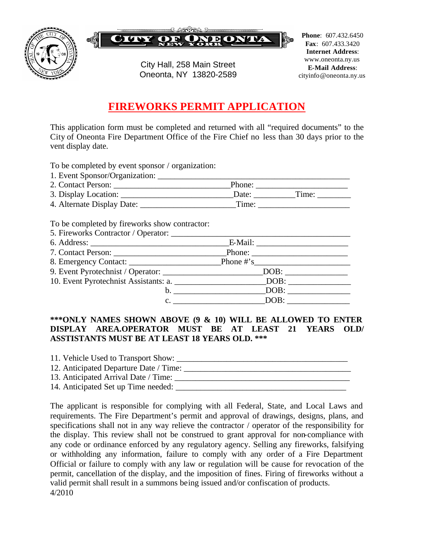



City Hall, 258 Main Street Oneonta, NY 13820-2589

**Phone**: 607.432.6450 **Fax**: 607.433.3420 **Internet Address**: www.oneonta.ny.us **E-Mail Address**: cityinfo@oneonta.ny.us

## **FIREWORKS PERMIT APPLICATION**

This application form must be completed and returned with all "required documents" to the City of Oneonta Fire Department Office of the Fire Chief no less than 30 days prior to the vent display date.

To be completed by event sponsor / organization:

| 1. Event Sponsor/Organization: |        |       |  |
|--------------------------------|--------|-------|--|
| 2. Contact Person:             | Phone: |       |  |
| 3. Display Location:           | Date:  | Time: |  |
| 4. Alternate Display Date:     | Time:  |       |  |

To be completed by fireworks show contractor:

| 9. Event Pyrotechnist / Operator: ________________________________DOB: __________ |
|-----------------------------------------------------------------------------------|
|                                                                                   |
| $b.$ DOB:                                                                         |
| c. DOB:                                                                           |

## **\*\*\*ONLY NAMES SHOWN ABOVE (9 & 10) WILL BE ALLOWED TO ENTER DISPLAY AREA.OPERATOR MUST BE AT LEAST 21 YEARS OLD/ ASSTISTANTS MUST BE AT LEAST 18 YEARS OLD. \*\*\***

| 11. Vehicle Used to Transport Show:    |  |
|----------------------------------------|--|
| 12. Anticipated Departure Date / Time: |  |
| 13. Anticipated Arrival Date / Time:   |  |
| 14. Anticipated Set up Time needed:    |  |

The applicant is responsible for complying with all Federal, State, and Local Laws and requirements. The Fire Department's permit and approval of drawings, designs, plans, and specifications shall not in any way relieve the contractor / operator of the responsibility for the display. This review shall not be construed to grant approval for non-compliance with any code or ordinance enforced by any regulatory agency. Selling any fireworks, falsifying or withholding any information, failure to comply with any order of a Fire Department Official or failure to comply with any law or regulation will be cause for revocation of the permit, cancellation of the display, and the imposition of fines. Firing of fireworks without a valid permit shall result in a summons being issued and/or confiscation of products. 4/2010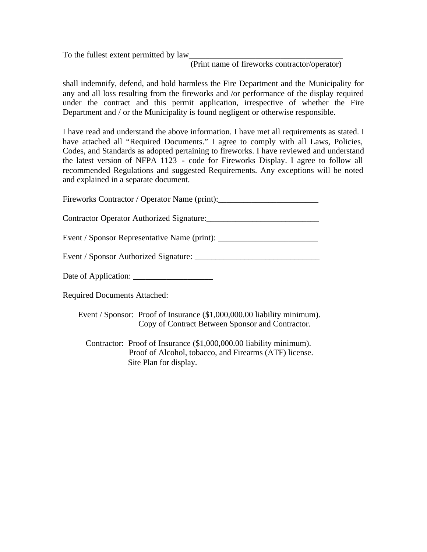To the fullest extent permitted by law

(Print name of fireworks contractor/operator)

shall indemnify, defend, and hold harmless the Fire Department and the Municipality for any and all loss resulting from the fireworks and /or performance of the display required under the contract and this permit application, irrespective of whether the Fire Department and / or the Municipality is found negligent or otherwise responsible.

I have read and understand the above information. I have met all requirements as stated. I have attached all "Required Documents." I agree to comply with all Laws, Policies, Codes, and Standards as adopted pertaining to fireworks. I have reviewed and understand the latest version of NFPA 1123 - code for Fireworks Display. I agree to follow all recommended Regulations and suggested Requirements. Any exceptions will be noted and explained in a separate document.

Fireworks Contractor / Operator Name (print):\_\_\_\_\_\_\_\_\_\_\_\_\_\_\_\_\_\_\_\_\_\_\_\_\_\_\_\_\_\_\_\_\_\_\_

Contractor Operator Authorized Signature:\_\_\_\_\_\_\_\_\_\_\_\_\_\_\_\_\_\_\_\_\_\_\_\_\_\_\_

Event / Sponsor Representative Name (print): \_\_\_\_\_\_\_\_\_\_\_\_\_\_\_\_\_\_\_\_\_\_\_\_\_\_\_\_\_\_\_\_\_\_\_

Event / Sponsor Authorized Signature: \_\_\_\_\_\_\_\_\_\_\_\_\_\_\_\_\_\_\_\_\_\_\_\_\_\_\_\_\_\_

Date of Application: \_\_\_\_\_\_\_\_\_\_\_\_\_\_\_\_\_\_\_

Required Documents Attached:

 Event / Sponsor: Proof of Insurance (\$1,000,000.00 liability minimum). Copy of Contract Between Sponsor and Contractor.

 Contractor: Proof of Insurance (\$1,000,000.00 liability minimum). Proof of Alcohol, tobacco, and Firearms (ATF) license. Site Plan for display.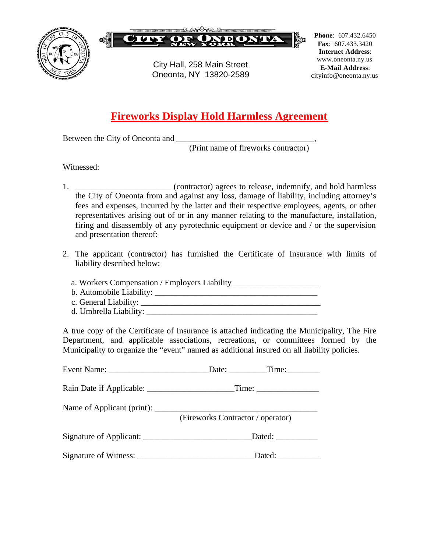



City Hall, 258 Main Street Oneonta, NY 13820-2589

**Phone**: 607.432.6450 **Fax**: 607.433.3420 **Internet Address**: www.oneonta.ny.us **E-Mail Address**: cityinfo@oneonta.ny.us

## **Fireworks Display Hold Harmless Agreement**

Between the City of Oneonta and

(Print name of fireworks contractor)

Witnessed:

- 1. \_\_\_\_\_\_\_\_\_\_\_\_\_\_\_\_\_\_\_\_\_\_\_\_\_\_ (contractor) agrees to release, indemnify, and hold harmless the City of Oneonta from and against any loss, damage of liability, including attorney's fees and expenses, incurred by the latter and their respective employees, agents, or other representatives arising out of or in any manner relating to the manufacture, installation, firing and disassembly of any pyrotechnic equipment or device and / or the supervision and presentation thereof:
- 2. The applicant (contractor) has furnished the Certificate of Insurance with limits of liability described below:

 a. Workers Compensation / Employers Liability\_\_\_\_\_\_\_\_\_\_\_\_\_\_\_\_\_\_\_\_\_ b. Automobile Liability: \_\_\_\_\_\_\_\_\_\_\_\_\_\_\_\_\_\_\_\_\_\_\_\_\_\_\_\_\_\_\_\_\_\_\_\_\_\_\_ c. General Liability: d. Umbrella Liability:

A true copy of the Certificate of Insurance is attached indicating the Municipality, The Fire Department, and applicable associations, recreations, or committees formed by the Municipality to organize the "event" named as additional insured on all liability policies.

| Date: Time:                       |  |
|-----------------------------------|--|
|                                   |  |
| (Fireworks Contractor / operator) |  |
| Dated: _____________              |  |
| Dated:                            |  |